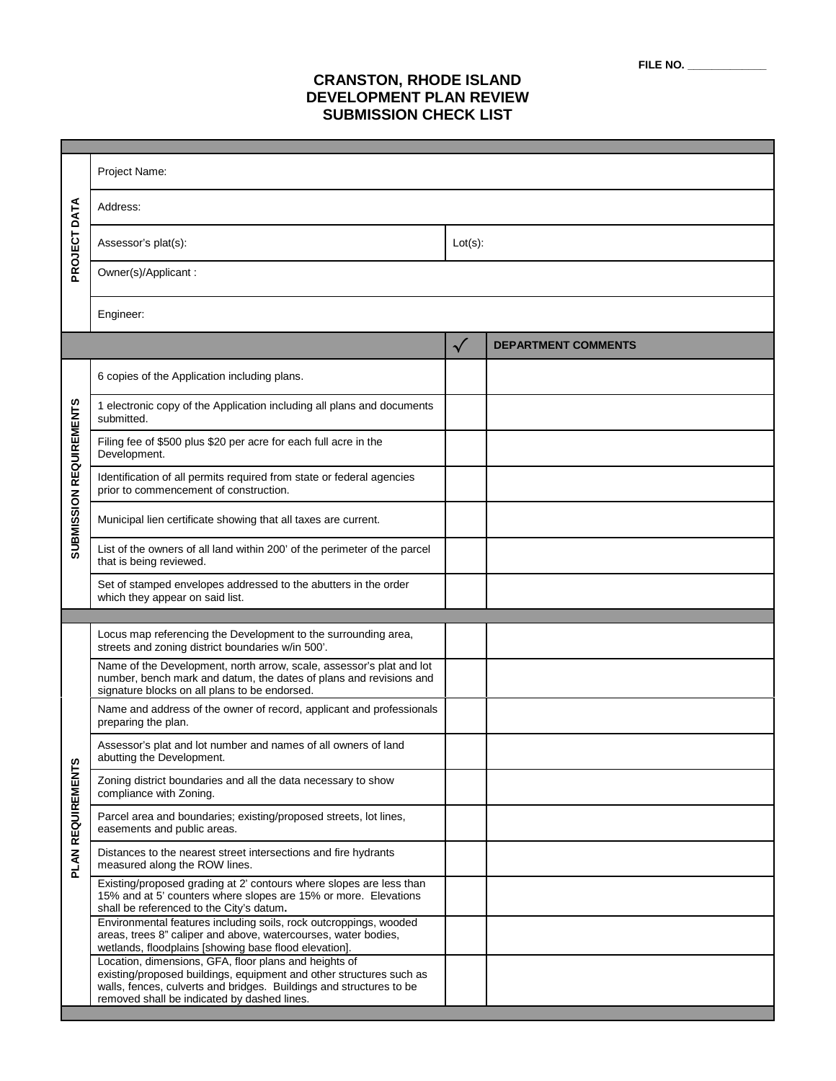| FILE NO. |  |
|----------|--|
|----------|--|

## **CRANSTON, RHODE ISLAND DEVELOPMENT PLAN REVIEW SUBMISSION CHECK LIST**

|                                | Project Name:                                                                                                                                                                                                                                      |              |                            |  |  |
|--------------------------------|----------------------------------------------------------------------------------------------------------------------------------------------------------------------------------------------------------------------------------------------------|--------------|----------------------------|--|--|
| PROJECT DATA                   | Address:                                                                                                                                                                                                                                           |              |                            |  |  |
|                                | Assessor's plat(s):                                                                                                                                                                                                                                |              | $Lot(s)$ :                 |  |  |
|                                | Owner(s)/Applicant:                                                                                                                                                                                                                                |              |                            |  |  |
|                                | Engineer:                                                                                                                                                                                                                                          |              |                            |  |  |
|                                |                                                                                                                                                                                                                                                    | $\checkmark$ | <b>DEPARTMENT COMMENTS</b> |  |  |
| <b>SUBMISSION REQUIREMENTS</b> | 6 copies of the Application including plans.                                                                                                                                                                                                       |              |                            |  |  |
|                                | 1 electronic copy of the Application including all plans and documents<br>submitted.                                                                                                                                                               |              |                            |  |  |
|                                | Filing fee of \$500 plus \$20 per acre for each full acre in the<br>Development.                                                                                                                                                                   |              |                            |  |  |
|                                | Identification of all permits required from state or federal agencies<br>prior to commencement of construction.                                                                                                                                    |              |                            |  |  |
|                                | Municipal lien certificate showing that all taxes are current.                                                                                                                                                                                     |              |                            |  |  |
|                                | List of the owners of all land within 200' of the perimeter of the parcel<br>that is being reviewed.                                                                                                                                               |              |                            |  |  |
|                                | Set of stamped envelopes addressed to the abutters in the order<br>which they appear on said list.                                                                                                                                                 |              |                            |  |  |
|                                |                                                                                                                                                                                                                                                    |              |                            |  |  |
|                                | Locus map referencing the Development to the surrounding area,<br>streets and zoning district boundaries w/in 500'.                                                                                                                                |              |                            |  |  |
|                                | Name of the Development, north arrow, scale, assessor's plat and lot<br>number, bench mark and datum, the dates of plans and revisions and<br>signature blocks on all plans to be endorsed.                                                        |              |                            |  |  |
|                                | Name and address of the owner of record, applicant and professionals<br>preparing the plan.                                                                                                                                                        |              |                            |  |  |
|                                | Assessor's plat and lot number and names of all owners of land<br>abutting the Development.                                                                                                                                                        |              |                            |  |  |
| PLAN REQUIREMENTS              | Zoning district boundaries and all the data necessary to show<br>compliance with Zoning.                                                                                                                                                           |              |                            |  |  |
|                                | Parcel area and boundaries; existing/proposed streets, lot lines,<br>easements and public areas.                                                                                                                                                   |              |                            |  |  |
|                                | Distances to the nearest street intersections and fire hydrants<br>measured along the ROW lines.                                                                                                                                                   |              |                            |  |  |
|                                | Existing/proposed grading at 2' contours where slopes are less than<br>15% and at 5' counters where slopes are 15% or more. Elevations<br>shall be referenced to the City's datum.                                                                 |              |                            |  |  |
|                                | Environmental features including soils, rock outcroppings, wooded<br>areas, trees 8" caliper and above, watercourses, water bodies,<br>wetlands, floodplains [showing base flood elevation].                                                       |              |                            |  |  |
|                                | Location, dimensions, GFA, floor plans and heights of<br>existing/proposed buildings, equipment and other structures such as<br>walls, fences, culverts and bridges. Buildings and structures to be<br>removed shall be indicated by dashed lines. |              |                            |  |  |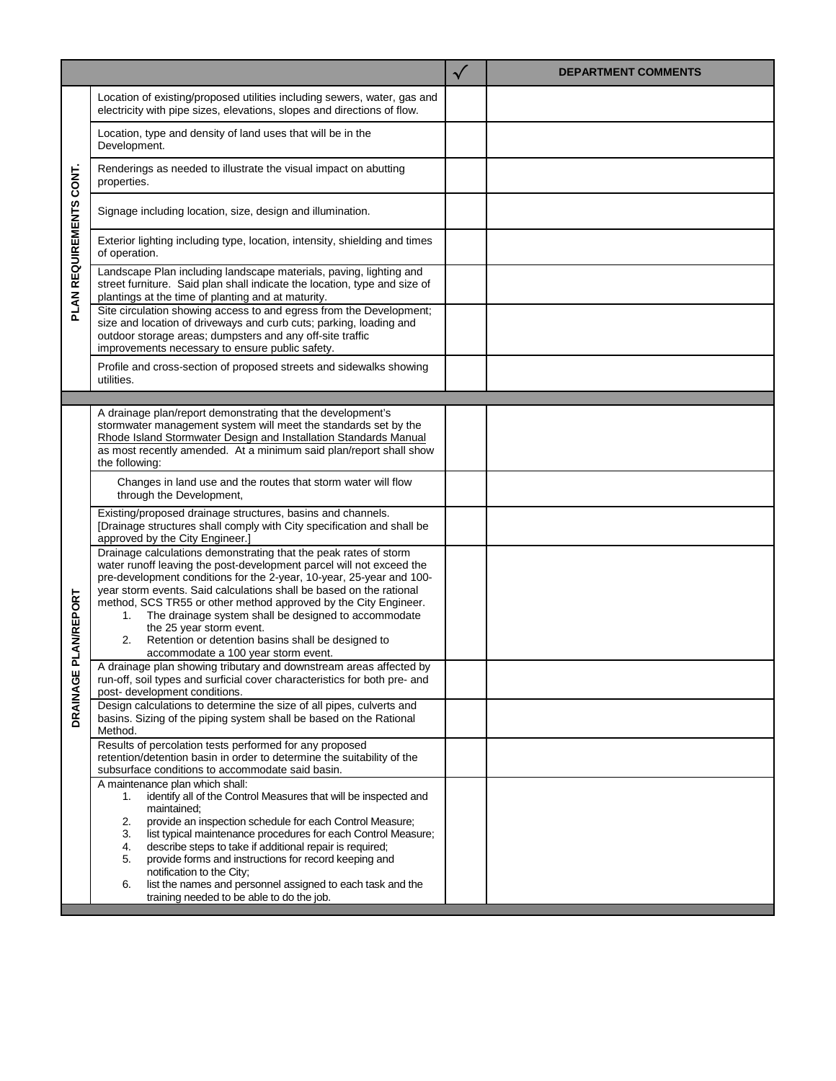|                                   |                                                                                                                                                                                                                                                                                                                                                                                                                                                      | $\checkmark$ | <b>DEPARTMENT COMMENTS</b> |
|-----------------------------------|------------------------------------------------------------------------------------------------------------------------------------------------------------------------------------------------------------------------------------------------------------------------------------------------------------------------------------------------------------------------------------------------------------------------------------------------------|--------------|----------------------------|
| CONT.<br><b>PLAN REQUIREMENTS</b> | Location of existing/proposed utilities including sewers, water, gas and<br>electricity with pipe sizes, elevations, slopes and directions of flow.                                                                                                                                                                                                                                                                                                  |              |                            |
|                                   | Location, type and density of land uses that will be in the<br>Development.                                                                                                                                                                                                                                                                                                                                                                          |              |                            |
|                                   | Renderings as needed to illustrate the visual impact on abutting<br>properties.                                                                                                                                                                                                                                                                                                                                                                      |              |                            |
|                                   | Signage including location, size, design and illumination.                                                                                                                                                                                                                                                                                                                                                                                           |              |                            |
|                                   | Exterior lighting including type, location, intensity, shielding and times<br>of operation.                                                                                                                                                                                                                                                                                                                                                          |              |                            |
|                                   | Landscape Plan including landscape materials, paving, lighting and<br>street furniture. Said plan shall indicate the location, type and size of<br>plantings at the time of planting and at maturity.                                                                                                                                                                                                                                                |              |                            |
|                                   | Site circulation showing access to and egress from the Development;<br>size and location of driveways and curb cuts; parking, loading and<br>outdoor storage areas; dumpsters and any off-site traffic<br>improvements necessary to ensure public safety.                                                                                                                                                                                            |              |                            |
|                                   | Profile and cross-section of proposed streets and sidewalks showing<br>utilities.                                                                                                                                                                                                                                                                                                                                                                    |              |                            |
|                                   |                                                                                                                                                                                                                                                                                                                                                                                                                                                      |              |                            |
|                                   | A drainage plan/report demonstrating that the development's<br>stormwater management system will meet the standards set by the<br>Rhode Island Stormwater Design and Installation Standards Manual<br>as most recently amended. At a minimum said plan/report shall show                                                                                                                                                                             |              |                            |
|                                   | the following:                                                                                                                                                                                                                                                                                                                                                                                                                                       |              |                            |
|                                   | Changes in land use and the routes that storm water will flow<br>through the Development,                                                                                                                                                                                                                                                                                                                                                            |              |                            |
| PLAN/REPORT                       | Existing/proposed drainage structures, basins and channels.<br>[Drainage structures shall comply with City specification and shall be<br>approved by the City Engineer.]                                                                                                                                                                                                                                                                             |              |                            |
|                                   | Drainage calculations demonstrating that the peak rates of storm<br>water runoff leaving the post-development parcel will not exceed the<br>pre-development conditions for the 2-year, 10-year, 25-year and 100-<br>year storm events. Said calculations shall be based on the rational<br>method, SCS TR55 or other method approved by the City Engineer.<br>The drainage system shall be designed to accommodate<br>1.<br>the 25 year storm event. |              |                            |
|                                   | Retention or detention basins shall be designed to<br>2.<br>accommodate a 100 year storm event.                                                                                                                                                                                                                                                                                                                                                      |              |                            |
|                                   | A drainage plan showing tributary and downstream areas affected by<br>run-off, soil types and surficial cover characteristics for both pre- and<br>post- development conditions.                                                                                                                                                                                                                                                                     |              |                            |
| DRAINAGE                          | Design calculations to determine the size of all pipes, culverts and<br>basins. Sizing of the piping system shall be based on the Rational<br>Method.                                                                                                                                                                                                                                                                                                |              |                            |
|                                   | Results of percolation tests performed for any proposed<br>retention/detention basin in order to determine the suitability of the<br>subsurface conditions to accommodate said basin.                                                                                                                                                                                                                                                                |              |                            |
|                                   | A maintenance plan which shall:<br>identify all of the Control Measures that will be inspected and<br>1.<br>maintained:                                                                                                                                                                                                                                                                                                                              |              |                            |
|                                   | provide an inspection schedule for each Control Measure;<br>2.<br>list typical maintenance procedures for each Control Measure;<br>3.                                                                                                                                                                                                                                                                                                                |              |                            |
|                                   | describe steps to take if additional repair is required;<br>4.<br>provide forms and instructions for record keeping and<br>5.                                                                                                                                                                                                                                                                                                                        |              |                            |
|                                   | notification to the City;<br>list the names and personnel assigned to each task and the<br>6.<br>training needed to be able to do the job.                                                                                                                                                                                                                                                                                                           |              |                            |